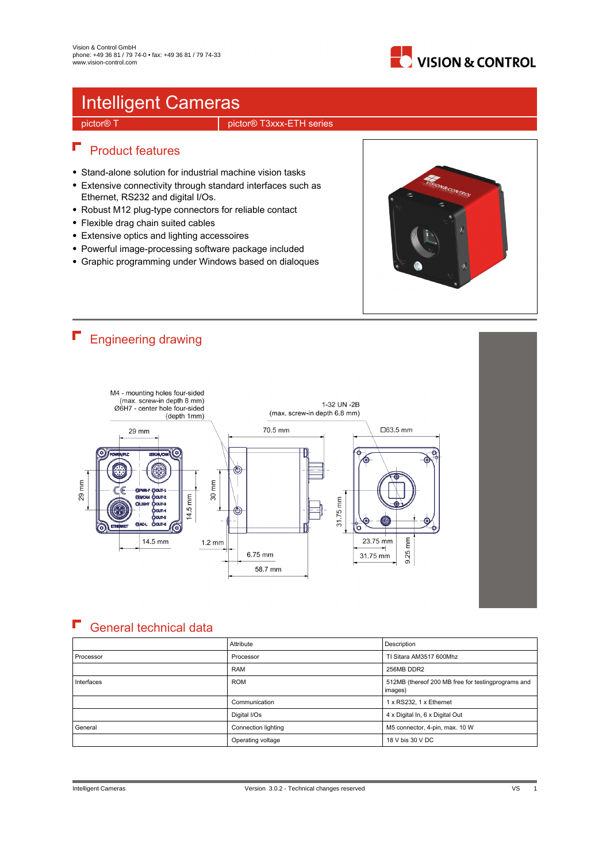

## Intelligent Cameras

pictor® T pictor® T3xxx-ETH series

### $\blacksquare$  Product features

- Stand-alone solution for industrial machine vision tasks
- Extensive connectivity through standard interfaces such as Ethernet, RS232 and digital I/Os.
- Robust M12 plug-type connectors for reliable contact
- Flexible drag chain suited cables
- Extensive optics and lighting accessoires
- Powerful image-processing software package included
- Graphic programming under Windows based on dialoques





#### F General technical data

|            | Attribute           | Description                                                   |
|------------|---------------------|---------------------------------------------------------------|
| Processor  | Processor           | TI Sitara AM3517 600Mhz                                       |
|            | <b>RAM</b>          | 256MB DDR2                                                    |
| Interfaces | <b>ROM</b>          | 512MB (thereof 200 MB free for testingprograms and<br>images) |
|            | Communication       | 1 x RS232, 1 x Ethernet                                       |
|            | Digital I/Os        | 4 x Digital In, 6 x Digital Out                               |
| l General  | Connection lighting | M5 connector, 4-pin, max. 10 W                                |
|            | Operating voltage   | 18 V bis 30 V DC                                              |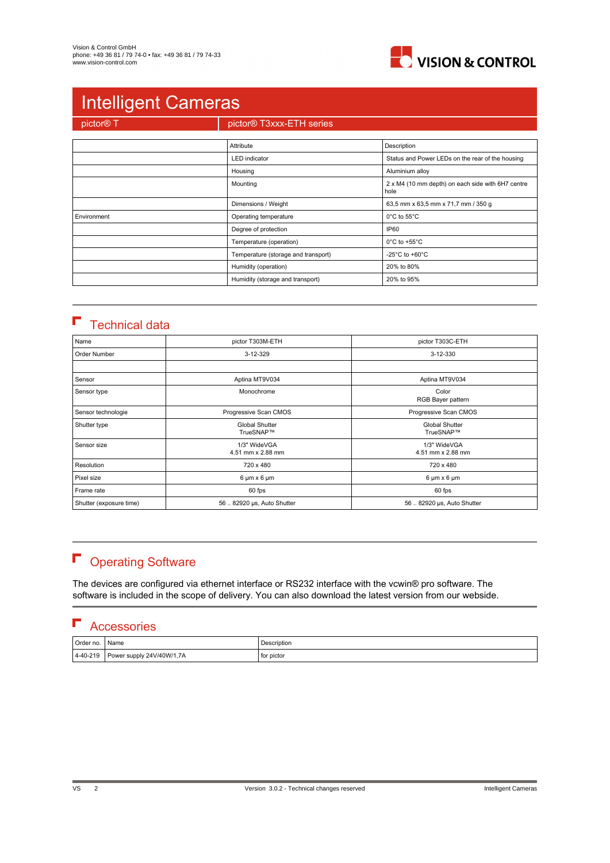

# Intelligent Cameras

pictor® T<br>pictor® T3xxx-ETH series

|             | Attribute                           | Description                                               |
|-------------|-------------------------------------|-----------------------------------------------------------|
|             | <b>LED</b> indicator                | Status and Power LEDs on the rear of the housing          |
|             | Housing                             | Aluminium alloy                                           |
|             | Mounting                            | 2 x M4 (10 mm depth) on each side with 6H7 centre<br>hole |
|             | Dimensions / Weight                 | 63,5 mm x 63,5 mm x 71,7 mm / 350 g                       |
| Environment | Operating temperature               | $0^{\circ}$ C to 55 $^{\circ}$ C                          |
|             | Degree of protection                | <b>IP60</b>                                               |
|             | Temperature (operation)             | $0^{\circ}$ C to +55 $^{\circ}$ C                         |
|             | Temperature (storage and transport) | -25 $^{\circ}$ C to +60 $^{\circ}$ C                      |
|             | Humidity (operation)                | 20% to 80%                                                |
|             | Humidity (storage and transport)    | 20% to 95%                                                |

### $\blacksquare$  Technical data

| Name                    | pictor T303M-ETH                                                         | pictor T303C-ETH                  |  |
|-------------------------|--------------------------------------------------------------------------|-----------------------------------|--|
| Order Number            | 3-12-329                                                                 | 3-12-330                          |  |
|                         |                                                                          |                                   |  |
| Sensor                  | Aptina MT9V034                                                           | Aptina MT9V034                    |  |
| Sensor type             | Monochrome                                                               | Color<br>RGB Bayer pattern        |  |
| Sensor technologie      | Progressive Scan CMOS                                                    | Progressive Scan CMOS             |  |
| Shutter type            | <b>Global Shutter</b><br><b>Global Shutter</b><br>TrueSNAP™<br>TrueSNAP™ |                                   |  |
| Sensor size             | 1/3" WideVGA<br>4.51 mm x 2.88 mm                                        | 1/3" WideVGA<br>4.51 mm x 2.88 mm |  |
| Resolution              | 720 x 480                                                                | 720 x 480                         |  |
| Pixel size              | $6 \mu m \times 6 \mu m$                                                 | $6 \mu m \times 6 \mu m$          |  |
| Frame rate              | 60 fps<br>60 fps                                                         |                                   |  |
| Shutter (exposure time) | 56  82920 µs, Auto Shutter<br>56  82920 µs, Auto Shutter                 |                                   |  |

# **F** Operating Software

The devices are configured via ethernet interface or RS232 interface with the vcwin® pro software. The software is included in the scope of delivery. You can also download the latest version from our webside.

### **F** Accessories

| Order no.        | Name                      | Description |
|------------------|---------------------------|-------------|
| $ 4 - 40 - 219 $ | Power supply 24V/40W/1,7A | for pictor  |